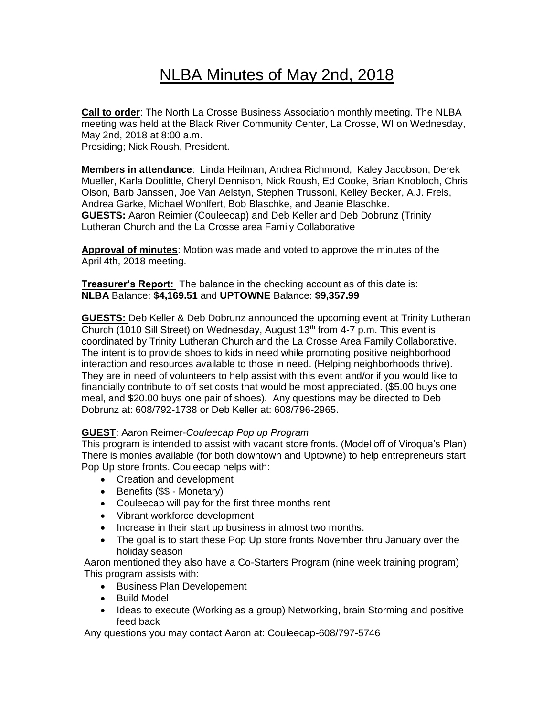# NLBA Minutes of May 2nd, 2018

**Call to order**: The North La Crosse Business Association monthly meeting. The NLBA meeting was held at the Black River Community Center, La Crosse, WI on Wednesday, May 2nd, 2018 at 8:00 a.m. Presiding; Nick Roush, President.

**Members in attendance**: Linda Heilman, Andrea Richmond, Kaley Jacobson, Derek Mueller, Karla Doolittle, Cheryl Dennison, Nick Roush, Ed Cooke, Brian Knobloch, Chris Olson, Barb Janssen, Joe Van Aelstyn, Stephen Trussoni, Kelley Becker, A.J. Frels, Andrea Garke, Michael Wohlfert, Bob Blaschke, and Jeanie Blaschke. **GUESTS:** Aaron Reimier (Couleecap) and Deb Keller and Deb Dobrunz (Trinity Lutheran Church and the La Crosse area Family Collaborative

**Approval of minutes**: Motion was made and voted to approve the minutes of the April 4th, 2018 meeting.

**Treasurer's Report:** The balance in the checking account as of this date is: **NLBA** Balance: **\$4,169.51** and **UPTOWNE** Balance: **\$9,357.99**

**GUESTS:** Deb Keller & Deb Dobrunz announced the upcoming event at Trinity Lutheran Church (1010 Sill Street) on Wednesday, August  $13<sup>th</sup>$  from 4-7 p.m. This event is coordinated by Trinity Lutheran Church and the La Crosse Area Family Collaborative. The intent is to provide shoes to kids in need while promoting positive neighborhood interaction and resources available to those in need. (Helping neighborhoods thrive). They are in need of volunteers to help assist with this event and/or if you would like to financially contribute to off set costs that would be most appreciated. (\$5.00 buys one meal, and \$20.00 buys one pair of shoes). Any questions may be directed to Deb Dobrunz at: 608/792-1738 or Deb Keller at: 608/796-2965.

#### **GUEST**: Aaron Reimer-*Couleecap Pop up Program*

This program is intended to assist with vacant store fronts. (Model off of Viroqua's Plan) There is monies available (for both downtown and Uptowne) to help entrepreneurs start Pop Up store fronts. Couleecap helps with:

- Creation and development
- Benefits (\$\$ Monetary)
- Couleecap will pay for the first three months rent
- Vibrant workforce development
- Increase in their start up business in almost two months.
- The goal is to start these Pop Up store fronts November thru January over the holiday season

Aaron mentioned they also have a Co-Starters Program (nine week training program) This program assists with:

- Business Plan Developement
- Build Model
- Ideas to execute (Working as a group) Networking, brain Storming and positive feed back

Any questions you may contact Aaron at: Couleecap-608/797-5746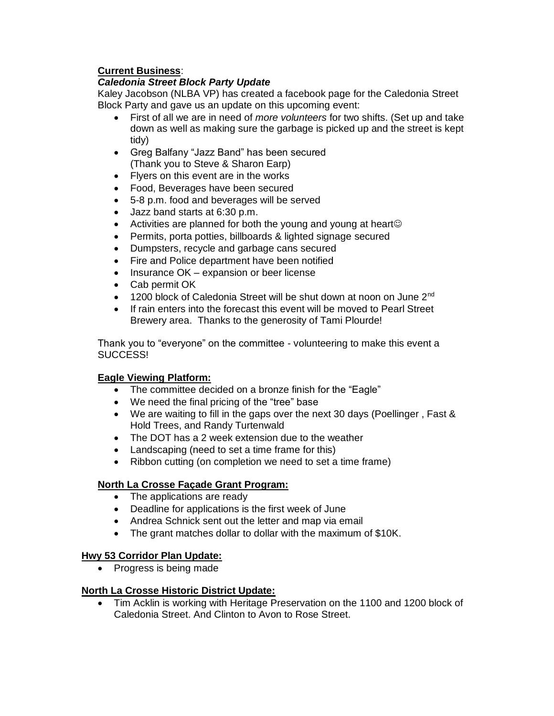## **Current Business**:

## *Caledonia Street Block Party Update*

Kaley Jacobson (NLBA VP) has created a facebook page for the Caledonia Street Block Party and gave us an update on this upcoming event:

- First of all we are in need of *more volunteers* for two shifts. (Set up and take down as well as making sure the garbage is picked up and the street is kept tidy)
- Greg Balfany "Jazz Band" has been secured (Thank you to Steve & Sharon Earp)
- Flyers on this event are in the works
- Food, Beverages have been secured
- 5-8 p.m. food and beverages will be served
- Jazz band starts at 6:30 p.m.
- Activities are planned for both the young and young at heart
- Permits, porta potties, billboards & lighted signage secured
- Dumpsters, recycle and garbage cans secured
- Fire and Police department have been notified
- Insurance OK expansion or beer license
- Cab permit OK
- 1200 block of Caledonia Street will be shut down at noon on June 2<sup>nd</sup>
- If rain enters into the forecast this event will be moved to Pearl Street Brewery area. Thanks to the generosity of Tami Plourde!

Thank you to "everyone" on the committee - volunteering to make this event a SUCCESS!

## **Eagle Viewing Platform:**

- The committee decided on a bronze finish for the "Eagle"
- We need the final pricing of the "tree" base
- We are waiting to fill in the gaps over the next 30 days (Poellinger , Fast & Hold Trees, and Randy Turtenwald
- The DOT has a 2 week extension due to the weather
- Landscaping (need to set a time frame for this)
- Ribbon cutting (on completion we need to set a time frame)

## **North La Crosse Façade Grant Program:**

- The applications are ready
- Deadline for applications is the first week of June
- Andrea Schnick sent out the letter and map via email
- The grant matches dollar to dollar with the maximum of \$10K.

## **Hwy 53 Corridor Plan Update:**

• Progress is being made

## **North La Crosse Historic District Update:**

• Tim Acklin is working with Heritage Preservation on the 1100 and 1200 block of Caledonia Street. And Clinton to Avon to Rose Street.